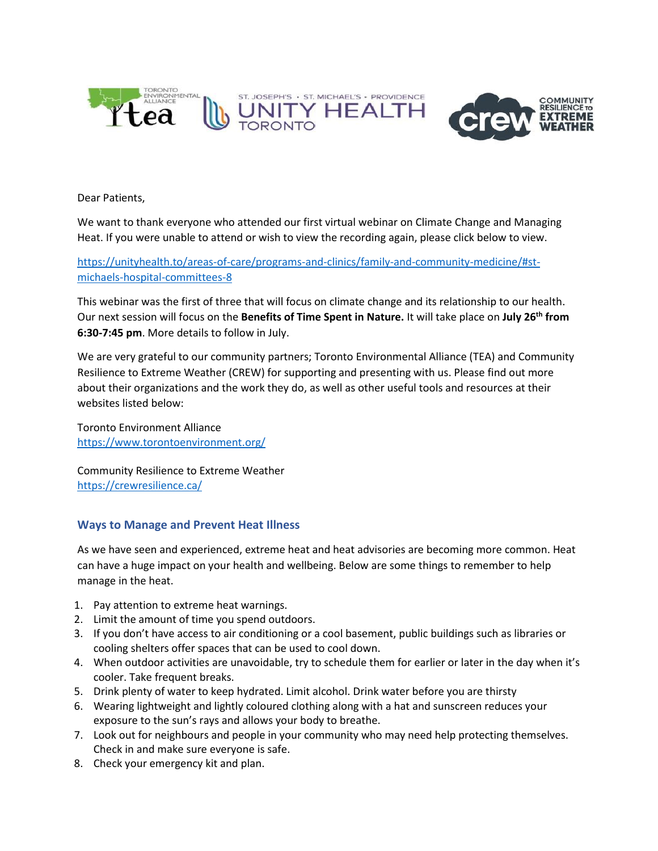

Dear Patients,

 We want to thank everyone who attended our first virtual webinar on Climate Change and Managing Heat. If you were unable to attend or wish to view the recording again, please click below to view.

#### [https://unityhealth.to/areas-of-care/programs-and-clinics/family-and-community-medicine/#st](https://unityhealth.to/areas-of-care/programs-and-clinics/family-and-community-medicine/#st-michaels-hospital-committees-8)[michaels-hospital-committees-8](https://unityhealth.to/areas-of-care/programs-and-clinics/family-and-community-medicine/#st-michaels-hospital-committees-8)

This webinar was the first of three that will focus on climate change and its relationship to our health. Our next session will focus on the **Benefits of Time Spent in Nature.** It will take place on **July 26th from 6:30-7:45 pm**. More details to follow in July.

 Resilience to Extreme Weather (CREW) for supporting and presenting with us. Please find out more We are very grateful to our community partners; Toronto Environmental Alliance (TEA) and Community about their organizations and the work they do, as well as other useful tools and resources at their websites listed below:

Toronto Environment Alliance <https://www.torontoenvironment.org/>

Community Resilience to Extreme Weather <https://crewresilience.ca/>

#### **Ways to Manage and Prevent Heat Illness**

As we have seen and experienced, extreme heat and heat advisories are becoming more common. Heat can have a huge impact on your health and wellbeing. Below are some things to remember to help manage in the heat.

- 1. Pay attention to extreme heat warnings.
- 2. Limit the amount of time you spend outdoors.
- 3. If you don't have access to air conditioning or a cool basement, public buildings such as libraries or cooling shelters offer spaces that can be used to cool down.
- 4. When outdoor activities are unavoidable, try to schedule them for earlier or later in the day when it's cooler. Take frequent breaks.
- 5. Drink plenty of water to keep hydrated. Limit alcohol. Drink water before you are thirsty
- 6. Wearing lightweight and lightly coloured clothing along with a hat and sunscreen reduces your exposure to the sun's rays and allows your body to breathe.
- 7. Look out for neighbours and people in your community who may need help protecting themselves. Check in and make sure everyone is safe.
- 8. Check your emergency kit and plan.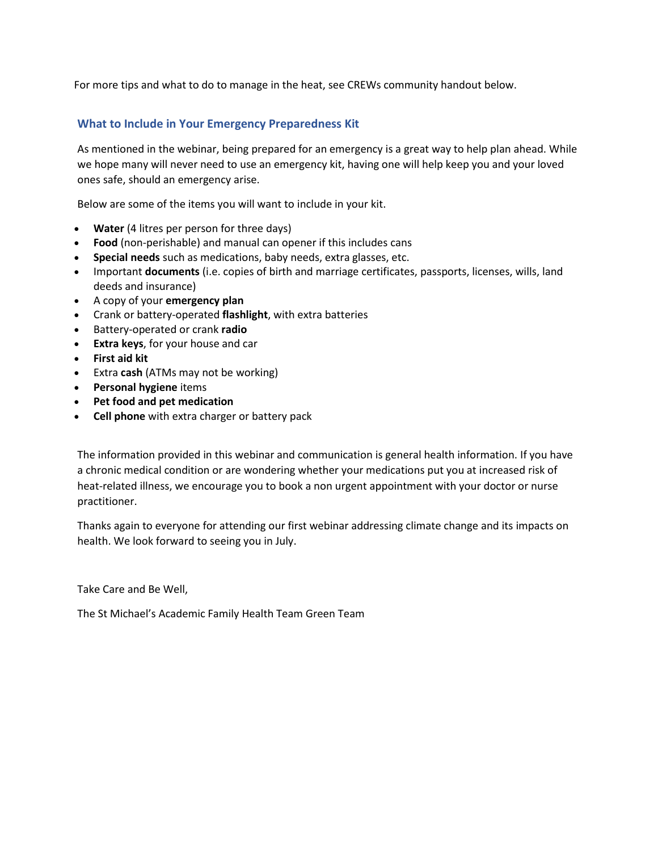For more tips and what to do to manage in the heat, see CREWs community handout below.

#### **What to Include in Your Emergency Preparedness Kit**

As mentioned in the webinar, being prepared for an emergency is a great way to help plan ahead. While we hope many will never need to use an emergency kit, having one will help keep you and your loved ones safe, should an emergency arise.

Below are some of the items you will want to include in your kit.

- **Water** (4 litres per person for three days)
- **Food** (non-perishable) and manual can opener if this includes cans
- **Special needs** such as medications, baby needs, extra glasses, etc.
- Important **documents** (i.e. copies of birth and marriage certificates, passports, licenses, wills, land deeds and insurance)
- A copy of your **emergency plan**
- Crank or battery-operated **flashlight**, with extra batteries
- Battery-operated or crank **radio**
- **Extra keys**, for your house and car
- **First aid kit**
- Extra **cash** (ATMs may not be working)
- **Personal hygiene** items
- **Pet food and pet medication**
- **Cell phone** with extra charger or battery pack

The information provided in this webinar and communication is general health information. If you have a chronic medical condition or are wondering whether your medications put you at increased risk of heat-related illness, we encourage you to book a non urgent appointment with your doctor or nurse practitioner.

Thanks again to everyone for attending our first webinar addressing climate change and its impacts on health. We look forward to seeing you in July.

Take Care and Be Well,

The St Michael's Academic Family Health Team Green Team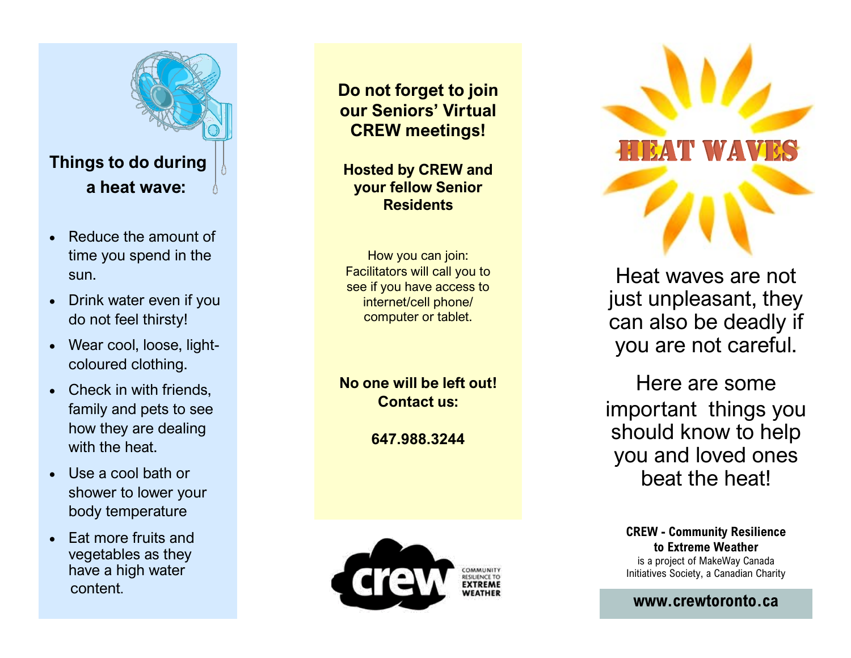

- Reduce the amount of time you spend in the sun.
- Drink water even if you do not feel thirsty!
- Wear cool, loose, light coloured clothing.
- Check in with friends. family and pets to see how they are dealing with the heat.
- Use a cool bath or shower to lower your body temperature
- Eat more fruits and vegetables as they have a high water content.

**Do not forget to join our Seniors' Virtual CREW meetings!**

**Hosted by CREW and your fellow Senior Residents** 

 How you can join: Facilitators will call you to see if you have access to internet/cell phone/ computer or tablet.

**No one will be left out! Contact us:**

**647.988.3244**





Heat waves are not just unpleasant, they can also be deadly if you are not careful.

Here are some important things you should know to help you and loved ones beat the heat!

**CREW - Community Resilience to Extreme Weather**  is a project of MakeWay Canada Initiatives Society, a Canadian Charity

**<www.crewtoronto.ca>**